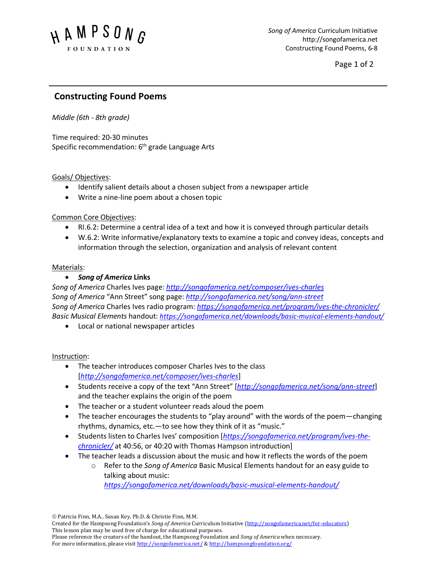

Page 1 of 2

# **Constructing Found Poems**

*Middle (6th - 8th grade)*

Time required: 20-30 minutes Specific recommendation: 6<sup>th</sup> grade Language Arts

### Goals/ Objectives:

- Identify salient details about a chosen subject from a newspaper article
- Write a nine-line poem about a chosen topic

### Common Core Objectives:

- RI.6.2: Determine a central idea of a text and how it is conveyed through particular details
- W.6.2: Write informative/explanatory texts to examine a topic and convey ideas, concepts and information through the selection, organization and analysis of relevant content

### Materials:

## • *Song of America* **Links**

*Song of America* Charles Ives page: *http://songofamerica.net/composer/ives-charles Song of America* "Ann Street" song page: *http://songofamerica.net/song/ann-street Song of America* Charles Ives radio program: *https://songofamerica.net/program/ives-the-chronicler/ Basic Musical Elements* handout: *https://songofamerica.net/downloads/basic-musical-elements-handout/*

• Local or national newspaper articles

### Instruction:

- The teacher introduces composer Charles Ives to the class [*http://songofamerica.net/composer/ives-charles*]
- Students receive a copy of the text "Ann Street" [*http://songofamerica.net/song/ann-street*] and the teacher explains the origin of the poem
- The teacher or a student volunteer reads aloud the poem
- The teacher encourages the students to "play around" with the words of the poem—changing rhythms, dynamics, etc.—to see how they think of it as "music."
- Students listen to Charles Ives' composition [*https://songofamerica.net/program/ives-thechronicler/* at 40:56, or 40:20 with Thomas Hampson introduction]
- The teacher leads a discussion about the music and how it reflects the words of the poem
	- o Refer to the *Song of America* Basic Musical Elements handout for an easy guide to talking about music:

*https://songofamerica.net/downloads/basic-musical-elements-handout/*

ã Patricia Finn, M.A., Susan Key, Ph.D. & Christie Finn, M.M.

Created for the Hampsong Foundation's *Song of America* Curriculum Initiative (http://songofamerica.net/for-educators) This lesson plan may be used free of charge for educational purposes. Please reference the creators of the handout, the Hampsong Foundation and *Song of America* when necessary.

For more information, please visit http://songofamerica.net/ & http://hampsongfoundation.org/